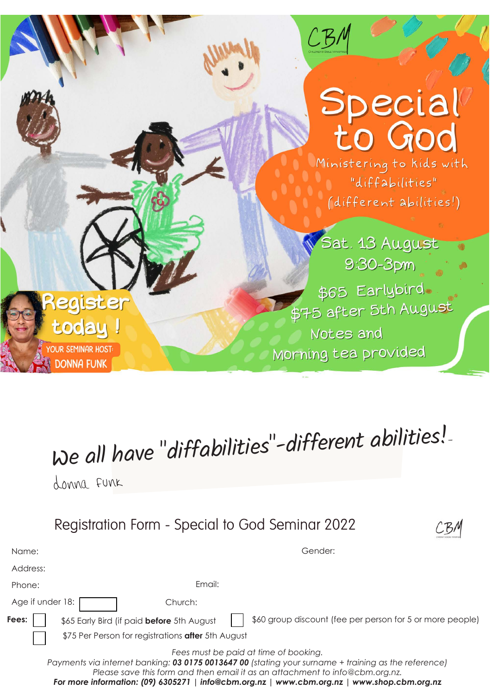

## We all have "diffabilities"-different abilities!-

donna funk



| Name:            | Gender:                                                                                                                                                                                                                       |
|------------------|-------------------------------------------------------------------------------------------------------------------------------------------------------------------------------------------------------------------------------|
| Address:         |                                                                                                                                                                                                                               |
| Phone:           | Email:                                                                                                                                                                                                                        |
| Age if under 18: | Church:                                                                                                                                                                                                                       |
| Fees:            | \$60 group discount (fee per person for 5 or more people)<br>\$65 Early Bird (if paid before 5th August                                                                                                                       |
|                  | \$75 Per Person for registrations after 5th August                                                                                                                                                                            |
|                  | Fees must be paid at time of booking.<br>Payments via internet banking: 03 0175 0013647 00 (stating your surname + training as the reference)<br>Please save this form and then email it as an attachment to info@cbm.org.nz. |

*For more information: (09) 6305271 | [info@cbm.org.nz |](mailto:info@cbm.org.nz) [www.cbm.org.nz |](http://www.cbm.org.nz) [www.shop.cbm.org.nz](http://www.shop.cbm.org.nz)*